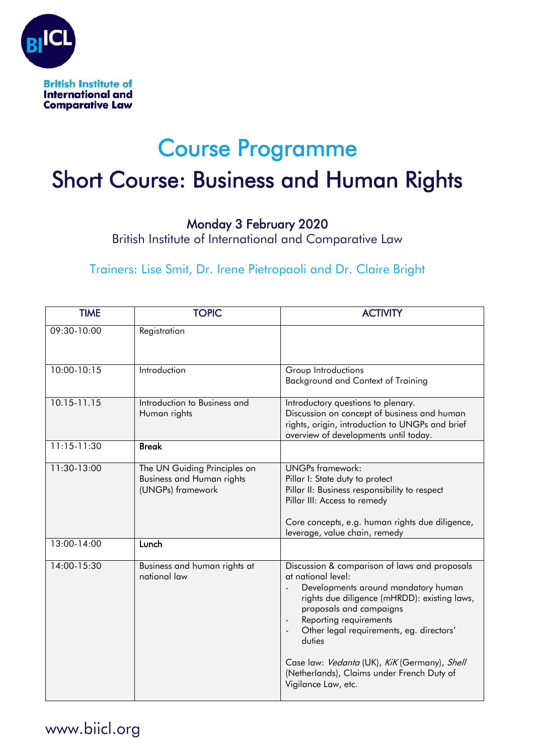

## Course Programme

# Short Course: Business and Human Rights

#### Monday 3 February 2020

British Institute of International and Comparative Law

#### Trainers: Lise Smit, Dr. Irene Pietropaoli and Dr. Claire Bright

| <b>TIME</b>     | <b>TOPIC</b>                                                                          | <b>ACTIVITY</b>                                                                                                                                                                                                                                                                                                                                                                            |
|-----------------|---------------------------------------------------------------------------------------|--------------------------------------------------------------------------------------------------------------------------------------------------------------------------------------------------------------------------------------------------------------------------------------------------------------------------------------------------------------------------------------------|
| 09:30-10:00     | Registration                                                                          |                                                                                                                                                                                                                                                                                                                                                                                            |
| 10:00-10:15     | Introduction                                                                          | Group Introductions<br>Background and Context of Training                                                                                                                                                                                                                                                                                                                                  |
| 10.15-11.15     | Introduction to Business and<br>Human rights                                          | Introductory questions to plenary.<br>Discussion on concept of business and human<br>rights, origin, introduction to UNGPs and brief<br>overview of developments until today.                                                                                                                                                                                                              |
| $11:15 - 11:30$ | <b>Break</b>                                                                          |                                                                                                                                                                                                                                                                                                                                                                                            |
| 11:30-13:00     | The UN Guiding Principles on<br><b>Business and Human rights</b><br>(UNGPs) framework | <b>UNGPs framework:</b><br>Pillar I: State duty to protect<br>Pillar II: Business responsibility to respect<br>Pillar III: Access to remedy<br>Core concepts, e.g. human rights due diligence,<br>leverage, value chain, remedy                                                                                                                                                            |
| 13:00-14:00     | Lunch                                                                                 |                                                                                                                                                                                                                                                                                                                                                                                            |
| 14:00-15:30     | Business and human rights at<br>national law                                          | Discussion & comparison of laws and proposals<br>at national level:<br>Developments around mandatory human<br>rights due diligence (mHRDD): existing laws,<br>proposals and campaigns<br>Reporting requirements<br>Other legal requirements, eg. directors'<br>duties<br>Case law: Vedanta (UK), KiK (Germany), Shell<br>(Netherlands), Claims under French Duty of<br>Vigilance Law, etc. |

### www.biicl.org